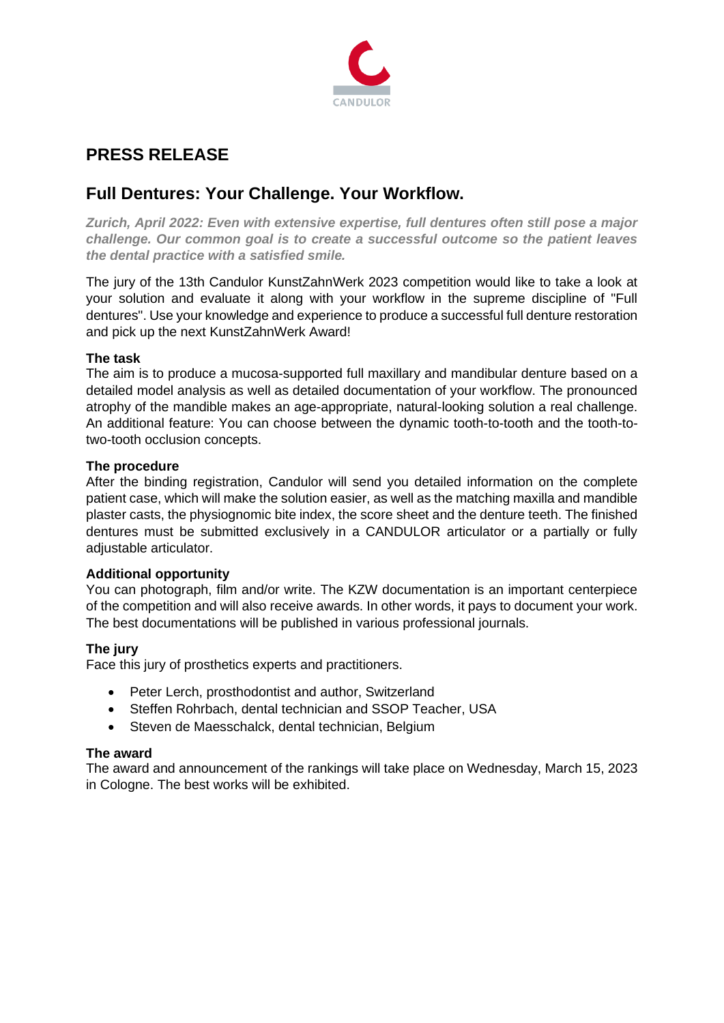

# **PRESS RELEASE**

## **Full Dentures: Your Challenge. Your Workflow.**

*Zurich, April 2022: Even with extensive expertise, full dentures often still pose a major challenge. Our common goal is to create a successful outcome so the patient leaves the dental practice with a satisfied smile.*

The jury of the 13th Candulor KunstZahnWerk 2023 competition would like to take a look at your solution and evaluate it along with your workflow in the supreme discipline of "Full dentures". Use your knowledge and experience to produce a successful full denture restoration and pick up the next KunstZahnWerk Award!

### **The task**

The aim is to produce a mucosa-supported full maxillary and mandibular denture based on a detailed model analysis as well as detailed documentation of your workflow. The pronounced atrophy of the mandible makes an age-appropriate, natural-looking solution a real challenge. An additional feature: You can choose between the dynamic tooth-to-tooth and the tooth-totwo-tooth occlusion concepts.

#### **The procedure**

After the binding registration, Candulor will send you detailed information on the complete patient case, which will make the solution easier, as well as the matching maxilla and mandible plaster casts, the physiognomic bite index, the score sheet and the denture teeth. The finished dentures must be submitted exclusively in a CANDULOR articulator or a partially or fully adjustable articulator.

#### **Additional opportunity**

You can photograph, film and/or write. The KZW documentation is an important centerpiece of the competition and will also receive awards. In other words, it pays to document your work. The best documentations will be published in various professional journals.

## **The jury**

Face this jury of prosthetics experts and practitioners.

- Peter Lerch, prosthodontist and author, Switzerland
- Steffen Rohrbach, dental technician and SSOP Teacher, USA
- Steven de Maesschalck, dental technician, Belgium

#### **The award**

The award and announcement of the rankings will take place on Wednesday, March 15, 2023 in Cologne. The best works will be exhibited.